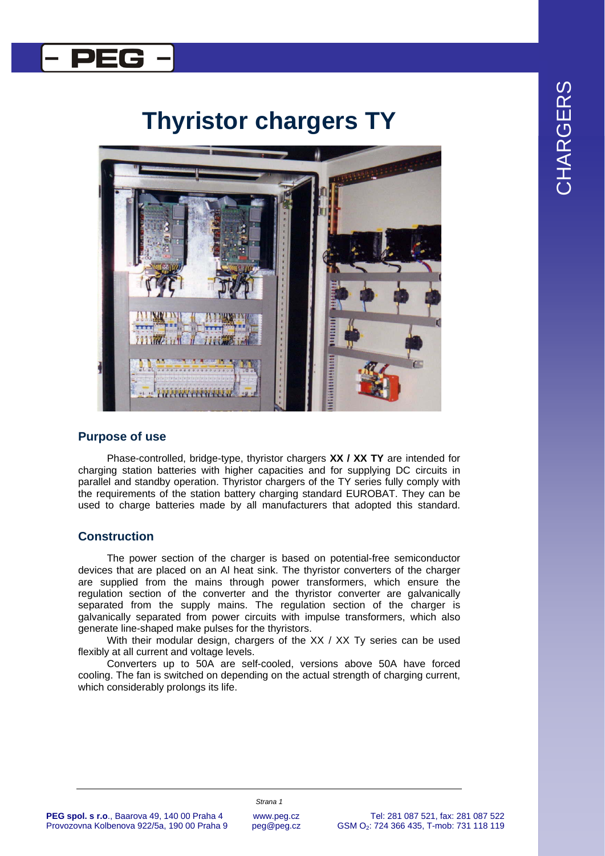

## l PEG

# **Thyristor chargers TY**



### **Purpose of use**

Phase-controlled, bridge-type, thyristor chargers **XX / XX TY** are intended for charging station batteries with higher capacities and for supplying DC circuits in parallel and standby operation. Thyristor chargers of the TY series fully comply with the requirements of the station battery charging standard EUROBAT. They can be used to charge batteries made by all manufacturers that adopted this standard.

### **Construction**

The power section of the charger is based on potential-free semiconductor devices that are placed on an Al heat sink. The thyristor converters of the charger are supplied from the mains through power transformers, which ensure the regulation section of the converter and the thyristor converter are galvanically separated from the supply mains. The regulation section of the charger is galvanically separated from power circuits with impulse transformers, which also generate line-shaped make pulses for the thyristors.

With their modular design, chargers of the XX / XX Ty series can be used flexibly at all current and voltage levels.

Converters up to 50A are self-cooled, versions above 50A have forced cooling. The fan is switched on depending on the actual strength of charging current, which considerably prolongs its life.

#### **PEG spol. s r.o**., Baarova 49, 140 00 Praha 4 Provozovna Kolbenova 922/5a, 190 00 Praha 9